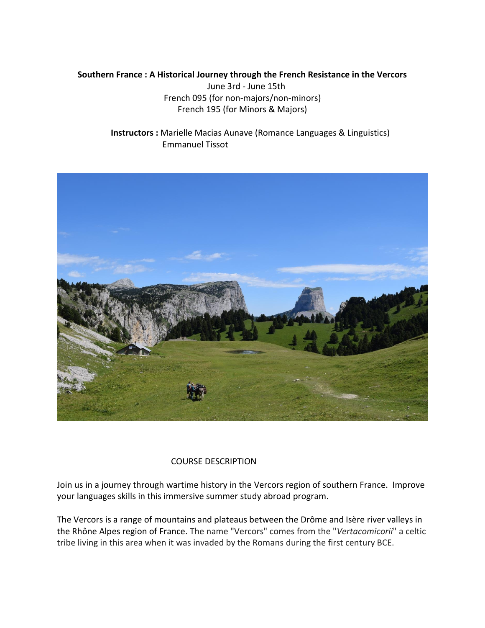## **Southern France : A Historical Journey through the French Resistance in the Vercors**

June 3rd - June 15th French 095 (for non-majors/non-minors) French 195 (for Minors & Majors)

 **Instructors :** Marielle Macias Aunave (Romance Languages & Linguistics) Emmanuel Tissot



## COURSE DESCRIPTION

Join us in a journey through wartime history in the Vercors region of southern France. Improve your languages skills in this immersive summer study abroad program.

The Vercors is a range of mountains and plateaus between the Drôme and Isère river valleys in the Rhône Alpes region of France. The name "Vercors" comes from the "*Vertacomicorii*" a celtic tribe living in this area when it was invaded by the Romans during the first century BCE.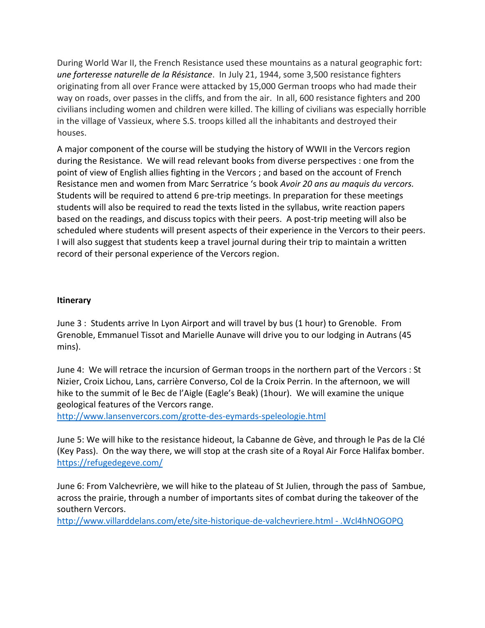During World War II, the French Resistance used these mountains as a natural geographic fort: *une forteresse naturelle de la Résistance*. In July 21, 1944, some 3,500 resistance fighters originating from all over France were attacked by 15,000 German troops who had made their way on roads, over passes in the cliffs, and from the air. In all, 600 resistance fighters and 200 civilians including women and children were killed. The killing of civilians was especially horrible in the village of Vassieux, where S.S. troops killed all the inhabitants and destroyed their houses.

A major component of the course will be studying the history of WWII in the Vercors region during the Resistance. We will read relevant books from diverse perspectives : one from the point of view of English allies fighting in the Vercors ; and based on the account of French Resistance men and women from Marc Serratrice 's book *Avoir 20 ans au maquis du vercors.* Students will be required to attend 6 pre-trip meetings. In preparation for these meetings students will also be required to read the texts listed in the syllabus, write reaction papers based on the readings, and discuss topics with their peers. A post-trip meeting will also be scheduled where students will present aspects of their experience in the Vercors to their peers. I will also suggest that students keep a travel journal during their trip to maintain a written record of their personal experience of the Vercors region.

## **Itinerary**

June 3 : Students arrive In Lyon Airport and will travel by bus (1 hour) to Grenoble. From Grenoble, Emmanuel Tissot and Marielle Aunave will drive you to our lodging in Autrans (45 mins).

June 4: We will retrace the incursion of German troops in the northern part of the Vercors : St Nizier, Croix Lichou, Lans, carrière Converso, Col de la Croix Perrin. In the afternoon, we will hike to the summit of le Bec de l'Aigle (Eagle's Beak) (1hour). We will examine the unique geological features of the Vercors range.

<http://www.lansenvercors.com/grotte-des-eymards-speleologie.html>

June 5: We will hike to the resistance hideout, la Cabanne de Gève, and through le Pas de la Clé (Key Pass). On the way there, we will stop at the crash site of a Royal Air Force Halifax bomber. <https://refugedegeve.com/>

June 6: From Valchevrière, we will hike to the plateau of St Julien, through the pass of Sambue, across the prairie, through a number of importants sites of combat during the takeover of the southern Vercors.

[http://www.villarddelans.com/ete/site-historique-de-valchevriere.html -](http://www.villarddelans.com/ete/site-historique-de-valchevriere.html#.Wcl4hNOGOPQ) .Wcl4hNOGOPQ